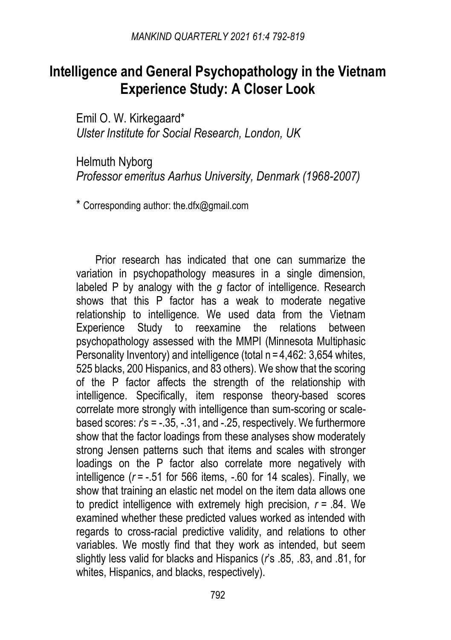# **Intelligence and General Psychopathology in the Vietnam Experience Study: A Closer Look**

Emil O. W. Kirkegaard\* *Ulster Institute for Social Research, London, UK* 

Helmuth Nyborg *Professor emeritus Aarhus University, Denmark (1968-2007)* 

\* Corresponding author: the.dfx@gmail.com

Prior research has indicated that one can summarize the variation in psychopathology measures in a single dimension, labeled P by analogy with the *g* factor of intelligence. Research shows that this P factor has a weak to moderate negative relationship to intelligence. We used data from the Vietnam Experience Study to reexamine the relations between psychopathology assessed with the MMPI (Minnesota Multiphasic Personality Inventory) and intelligence (total n = 4,462; 3,654 whites, 525 blacks, 200 Hispanics, and 83 others). We show that the scoring of the P factor affects the strength of the relationship with intelligence. Specifically, item response theory-based scores correlate more strongly with intelligence than sum-scoring or scalebased scores: *r*'s = -.35, -.31, and -.25, respectively. We furthermore show that the factor loadings from these analyses show moderately strong Jensen patterns such that items and scales with stronger loadings on the P factor also correlate more negatively with intelligence (*r* = -.51 for 566 items, -.60 for 14 scales). Finally, we show that training an elastic net model on the item data allows one to predict intelligence with extremely high precision, *r* = .84. We examined whether these predicted values worked as intended with regards to cross-racial predictive validity, and relations to other variables. We mostly find that they work as intended, but seem slightly less valid for blacks and Hispanics (*r*'s .85, .83, and .81, for whites, Hispanics, and blacks, respectively).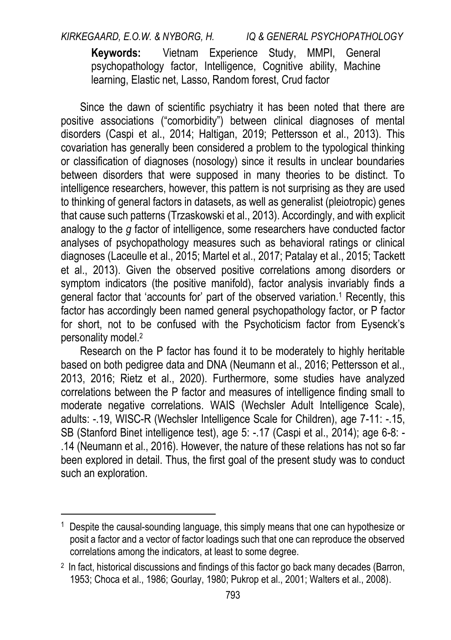*KIRKEGAARD, E.O.W. & NYBORG, H. IQ & GENERAL PSYCHOPATHOLOGY*  **Keywords:** Vietnam Experience Study, MMPI, General psychopathology factor, Intelligence, Cognitive ability, Machine learning, Elastic net, Lasso, Random forest, Crud factor

Since the dawn of scientific psychiatry it has been noted that there are positive associations ("comorbidity") between clinical diagnoses of mental disorders (Caspi et al., 2014; Haltigan, 2019; Pettersson et al., 2013). This covariation has generally been considered a problem to the typological thinking or classification of diagnoses (nosology) since it results in unclear boundaries between disorders that were supposed in many theories to be distinct. To intelligence researchers, however, this pattern is not surprising as they are used to thinking of general factors in datasets, as well as generalist (pleiotropic) genes that cause such patterns (Trzaskowski et al., 2013). Accordingly, and with explicit analogy to the *g* factor of intelligence, some researchers have conducted factor analyses of psychopathology measures such as behavioral ratings or clinical diagnoses (Laceulle et al., 2015; Martel et al., 2017; Patalay et al., 2015; Tackett et al., 2013). Given the observed positive correlations among disorders or symptom indicators (the positive manifold), factor analysis invariably finds a general factor that 'accounts for' part of the observed variation.<sup>1</sup> Recently, this factor has accordingly been named general psychopathology factor, or P factor for short, not to be confused with the Psychoticism factor from Eysenck's personality model.<sup>2</sup>

Research on the P factor has found it to be moderately to highly heritable based on both pedigree data and DNA (Neumann et al., 2016; Pettersson et al., 2013, 2016; Rietz et al., 2020). Furthermore, some studies have analyzed correlations between the P factor and measures of intelligence finding small to moderate negative correlations. [WAIS \(W](https://www.zotero.org/google-docs/?m7Yd22)echsler Adult Intelligence Scale), adults: -.19, WISC-R (Wechsler Intelligence Scale for Children), age 7-11: -.15, SB (Stanford Binet intelligence test), age 5: -.17 (Caspi et al., 2014); age 6-8: - .14 (Neumann et al., 2016). However, the nature of these relations has not so far been explored in detail. Thus, the first goal of the present study was to conduct such an exploration.

 $\overline{a}$ 

<sup>1</sup> Despite the causal-sounding language, this simply means that one can hypothesize or posit a factor and a vector of factor loadings such that one can reproduce the observed correlations among the indicators, at least to some degree.

<sup>2</sup> In fact, historical discussions and findings of this factor go back many decade[s \(Barron,](https://www.zotero.org/google-docs/?vkPTiQ)  [1953; Choca et al., 1986; Gourlay, 1980; Pukrop et al., 2001; Walters et al., 2008\).](https://www.zotero.org/google-docs/?vkPTiQ)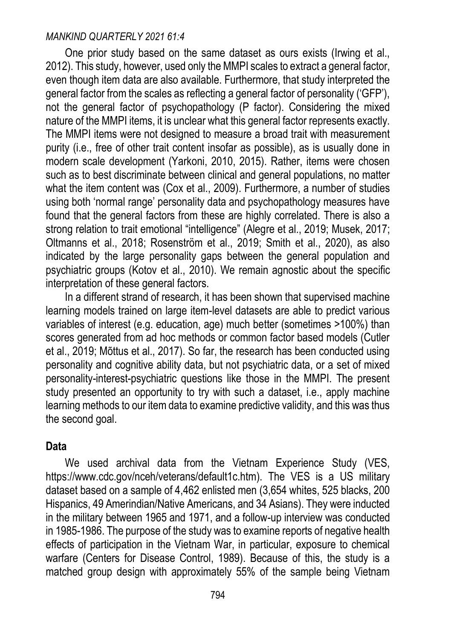One prior study based on the same dataset as ours exists (Irwing et al., 2012). This study, however, used only the MMPI scales to extract a general factor, even though item data are also available. Furthermore, that study interpreted the general factor from the scales as reflecting a general factor of personality ('GFP'), not the general factor of psychopathology (P factor). Considering the mixed nature of the MMPI items, it is unclear what this general factor represents exactly. The MMPI items were not designed to measure a broad trait with measurement purity (i.e., free of other trait content insofar as possible), as is usually done in modern scale development (Yarkoni, 2010, 2015). Rather, items were chosen such as to best discriminate between clinical and general populations, no matter what the item content was [\(Cox et al., 2009\).](https://www.zotero.org/google-docs/?aKZVkf) Furthermore, a number of studies using both 'normal range' personality data and psychopathology measures have found that the general factors from these are highly correlated. There is also a strong relation to trait emotional "intelligence" (Alegre et al., 2019; Musek, 2017; Oltmanns et al., 2018; Rosenström et al., 2019; Smith et al., 2020), as also indicated by the large personality gaps between the general population and psychiatric groups (Kotov et al., 2010). We remain agnostic about the specific interpretation of these general factors.

In a different strand of research, it has been shown that supervised machine learning models trained on large item-level datasets are able to predict various variables of interest (e.g. education, age) much better (sometimes >100%) than scores generated from ad hoc methods or common factor based models (Cutler et al., 2019; Mõttus et al., 2017). So far, the research has been conducted using personality and cognitive ability data, but not psychiatric data, or a set of mixed personality-interest-psychiatric questions like those in the MMPI. The present study presented an opportunity to try with such a dataset, i.e., apply machine learning methods to our item data to examine predictive validity, and this was thus the second goal.

### **Data**

We used archival data from the Vietnam Experience Study (VES, [https://www.cdc.gov/nceh/veterans/default1c.htm\)](https://www.cdc.gov/nceh/veterans/default1c.htm). The VES is a US military dataset based on a sample of 4,462 enlisted men (3,654 whites, 525 blacks, 200 Hispanics, 49 Amerindian/Native Americans, and 34 Asians). They were inducted in the military between 1965 and 1971, and a follow-up interview was conducted in 1985-1986. The purpose of the study was to examine reports of negative health effects of participation in the Vietnam War, in particular, exposure to chemical warfare (Centers for Disease Control, 1989). Because of this, the study is a matched group design with approximately 55% of the sample being Vietnam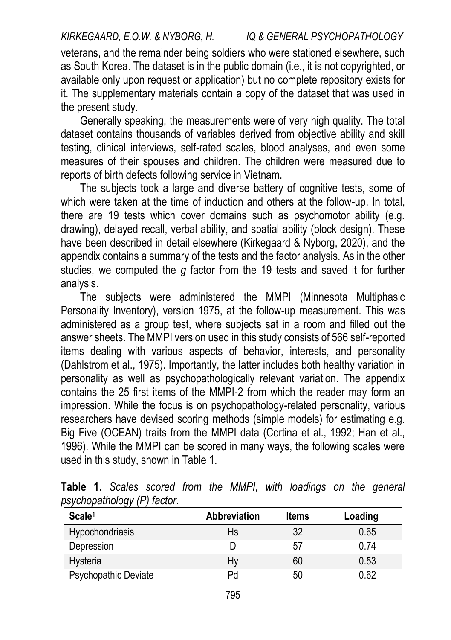veterans, and the remainder being soldiers who were stationed elsewhere, such as South Korea. The dataset is in the public domain (i.e., it is not copyrighted, or available only upon request or application) but no complete repository exists for it. The supplementary materials contain a copy of the dataset that was used in the present study.

Generally speaking, the measurements were of very high quality. The total dataset contains thousands of variables derived from objective ability and skill testing, clinical interviews, self-rated scales, blood analyses, and even some measures of their spouses and children. The children were measured due to reports of birth defects following service in Vietnam.

The subjects took a large and diverse battery of cognitive tests, some of which were taken at the time of induction and others at the follow-up. In total, there are 19 tests which cover domains such as psychomotor ability (e.g. drawing), delayed recall, verbal ability, and spatial ability (block design). These have been described in detail elsewhere (Kirkegaard & Nyborg, 2020), and the appendix contains a summary of the tests and the factor analysis. As in the other studies, we computed the *g* factor from the 19 tests and saved it for further analysis.

The subjects were administered the MMPI (Minnesota Multiphasic Personality Inventory), version 1975, at the follow-up measurement. This was administered as a group test, where subjects sat in a room and filled out the answer sheets. The MMPI version used in this study consists of 566 self-reported items dealing with various aspects of behavior, interests, and personality (Dahlstrom et al., 1975). Importantly, the latter includes both healthy variation in personality as well as psychopathologically relevant variation. The appendix contains the 25 first items of the MMPI-2 from which the reader may form an impression. While the focus is on psychopathology-related personality, various researchers have devised scoring methods (simple models) for estimating e.g. Big Five (OCEAN) traits from the MMPI data (Cortina et al., 1992; Han et al., 1996). While the MMPI can be scored in many ways, the following scales were used in this study, shown in Table 1.

| Scale <sup>1</sup>   | <b>Abbreviation</b> | <b>Items</b> | Loading |
|----------------------|---------------------|--------------|---------|
| Hypochondriasis      | Hs                  | 32           | 0.65    |
| Depression           |                     | 57           | 0.74    |
| Hysteria             | Hy                  | 60           | 0.53    |
| Psychopathic Deviate | Pd                  | 50           | 0.62    |

**Table 1.** *Scales scored from the MMPI, with loadings on the general psychopathology (P) factor*.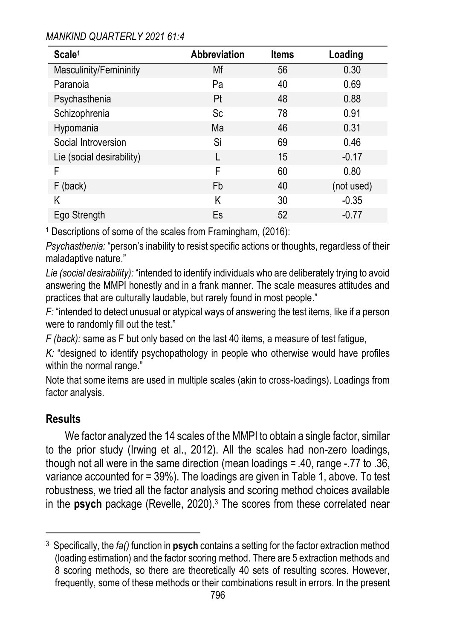| Scale <sup>1</sup>        | Abbreviation | <b>Items</b> | Loading    |
|---------------------------|--------------|--------------|------------|
| Masculinity/Femininity    | Mf           | 56           | 0.30       |
| Paranoia                  | Pa           | 40           | 0.69       |
| Psychasthenia             | Pt           | 48           | 0.88       |
| Schizophrenia             | Sc           | 78           | 0.91       |
| Hypomania                 | Ma           | 46           | 0.31       |
| Social Introversion       | Si           | 69           | 0.46       |
| Lie (social desirability) |              | 15           | $-0.17$    |
| F                         | F            | 60           | 0.80       |
| F (back)                  | Fb           | 40           | (not used) |
| Κ                         | Κ            | 30           | $-0.35$    |
| Ego Strength              | Es           | 52           | $-0.77$    |

1 Descriptions of some of the scales from Framingham, (2016):

*Psychasthenia:* "person's inability to resist specific actions or thoughts, regardless of their maladaptive nature."

*Lie (social desirability):* "intended to identify individuals who are deliberately trying to avoid answering the MMPI honestly and in a frank manner. The scale measures attitudes and practices that are culturally laudable, but rarely found in most people."

*F:* "intended to detect unusual or atypical ways of answering the test items, like if a person were to randomly fill out the test."

*F (back):* same as F but only based on the last 40 items, a measure of test fatigue,

*K:* "designed to identify psychopathology in people who otherwise would have profiles within the normal range."

Note that some items are used in multiple scales (akin to cross-loadings). Loadings from factor analysis.

## **Results**

 $\ddot{ }$ 

We factor analyzed the 14 scales of the MMPI to obtain a single factor, similar to the prior study (Irwing et al., 2012). All the scales had non-zero loadings, though not all were in the same direction (mean loadings = .40, range -.77 to .36, variance accounted for = 39%). The loadings are given in Table 1, above. To test robustness, we tried all the factor analysis and scoring method choices available in the **psych** package (Revelle, 2020).<sup>3</sup> The scores from these correlated near

<sup>3</sup> Specifically, the *fa()* function in **psych** contains a setting for the factor extraction method (loading estimation) and the factor scoring method. There are 5 extraction methods and 8 scoring methods, so there are theoretically 40 sets of resulting scores. However, frequently, some of these methods or their combinations result in errors. In the present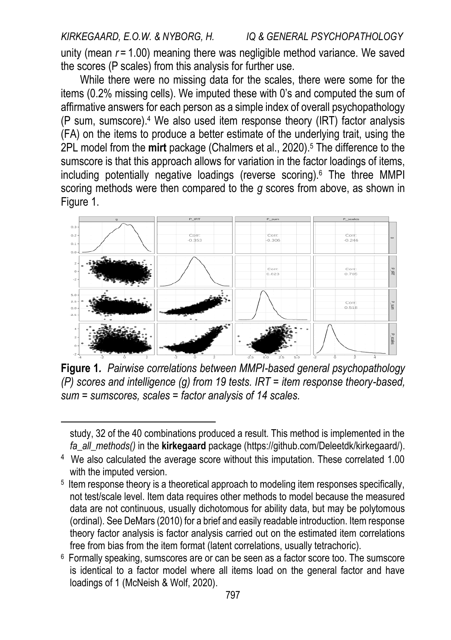unity (mean *r* = 1.00) meaning there was negligible method variance. We saved the scores (P scales) from this analysis for further use.

While there were no missing data for the scales, there were some for the items (0.2% missing cells). We imputed these with 0's and computed the sum of affirmative answers for each person as a simple index of overall psychopathology (P sum, sumscore).<sup>4</sup> We also used item response theory (IRT) factor analysis (FA) on the items to produce a better estimate of the underlying trait, using the 2PL model from the **mirt** package (Chalmers et al., 2020).<sup>5</sup> The difference to the sumscore is that this approach allows for variation in the factor loadings of items, including potentially negative loadings (reverse scoring).<sup>6</sup> The three MMPI scoring methods were then compared to the *g* scores from above, as shown in Figure 1.



**Figure 1***. Pairwise correlations between MMPI-based general psychopathology (P) scores and intelligence (g) from 19 tests. IRT = item response theory-based, sum = sumscores, scales = factor analysis of 14 scales.* 

 $\ddot{ }$ 

study, 32 of the 40 combinations produced a result. This method is implemented in the *fa\_all\_methods()* in the **kirkegaard** package [\(https://github.com/Deleetdk/kirkegaard/\)](https://github.com/Deleetdk/kirkegaard/).

<sup>&</sup>lt;sup>4</sup> We also calculated the average score without this imputation. These correlated 1.00 with the imputed version.

<sup>5</sup> Item response theory is a theoretical approach to modeling item responses specifically, not test/scale level. Item data requires other methods to model because the measured data are not continuous, usually dichotomous for ability data, but may be polytomous (ordinal). See DeMars (2010) for a brief and easily readable introduction. Item response theory factor analysis is factor analysis carried out on the estimated item correlations free from bias from the item format (latent correlations, usually tetrachoric).

<sup>6</sup> Formally speaking, sumscores are or can be seen as a factor score too. The sumscore is identical to a factor model where all items load on the general factor and have loadings of 1 [\(McNeish & Wolf, 2020\).](https://www.zotero.org/google-docs/?7wvWpr)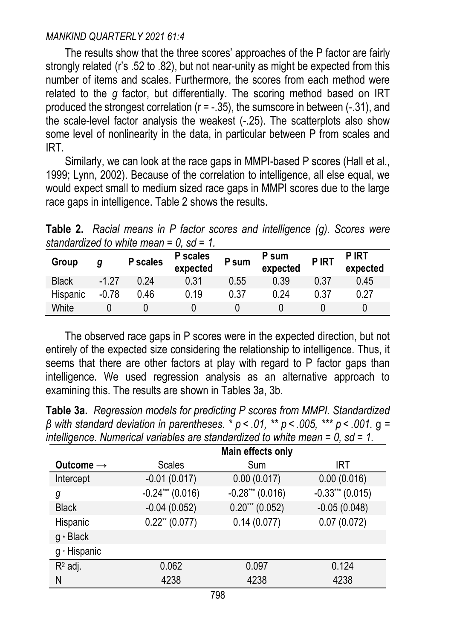The results show that the three scores' approaches of the P factor are fairly strongly related (r's .52 to .82), but not near-unity as might be expected from this number of items and scales. Furthermore, the scores from each method were related to the *g* factor, but differentially. The scoring method based on IRT produced the strongest correlation ( $r = -0.35$ ), the sumscore in between ( $-0.31$ ), and the scale-level factor analysis the weakest (-.25). The scatterplots also show some level of nonlinearity in the data, in particular between P from scales and IRT.

Similarly, we can look at the race gaps in MMPI-based P scores (Hall et al., 1999; Lynn, 2002). Because of the correlation to intelligence, all else equal, we would expect small to medium sized race gaps in MMPI scores due to the large race gaps in intelligence. Table 2 shows the results.

**Table 2.** *Racial means in P factor scores and intelligence (g). Scores were standardized to white mean = 0, sd = 1.* 

| Group        | g       | P scales | P scales<br>expected | P sum | P sum<br>expected | P IRT | <b>PIRT</b><br>expected |
|--------------|---------|----------|----------------------|-------|-------------------|-------|-------------------------|
| <b>Black</b> | $-1.27$ | 0 24     | 0.31                 | 0.55  | 0.39              | 0.37  | 0.45                    |
| Hispanic     | $-0.78$ | 0.46     | 0.19                 | 0.37  | 0.24              | 0.37  | 0.27                    |
| White        |         |          |                      |       |                   |       |                         |

The observed race gaps in P scores were in the expected direction, but not entirely of the expected size considering the relationship to intelligence. Thus, it seems that there are other factors at play with regard to P factor gaps than intelligence. We used regression analysis as an alternative approach to examining this. The results are shown in Tables 3a, 3b.

**Table 3a.** *Regression models for predicting P scores from MMPI. Standardized β with standard deviation in parentheses. \* p < .01, \*\* p < .005, \*\*\* p < .001.* g *= intelligence. Numerical variables are standardized to white mean = 0, sd = 1.* 

|                       | Main effects only            |                   |                   |  |  |  |
|-----------------------|------------------------------|-------------------|-------------------|--|--|--|
| Outcome $\rightarrow$ | Scales                       | Sum               | <b>IRT</b>        |  |  |  |
| Intercept             | $-0.01(0.017)$               | 0.00(0.017)       | 0.00(0.016)       |  |  |  |
| g                     | $-0.24***(0.016)$            | $-0.28***(0.016)$ | $-0.33***(0.015)$ |  |  |  |
| <b>Black</b>          | $-0.04(0.052)$               | $0.20***(0.052)$  | $-0.05(0.048)$    |  |  |  |
| Hispanic              | $0.22$ <sup>**</sup> (0.077) | 0.14(0.077)       | 0.07(0.072)       |  |  |  |
| g * Black             |                              |                   |                   |  |  |  |
| g · Hispanic          |                              |                   |                   |  |  |  |
| $R^2$ adj.            | 0.062                        | 0.097             | 0.124             |  |  |  |
| Ν                     | 4238                         | 4238              | 4238              |  |  |  |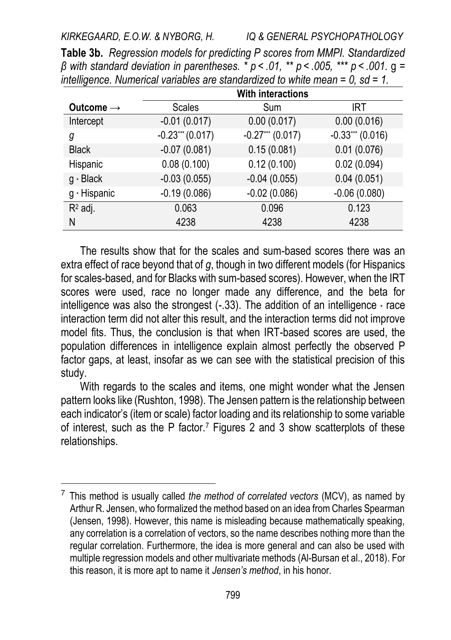|                       | <b>With interactions</b> |                   |                   |  |  |  |  |
|-----------------------|--------------------------|-------------------|-------------------|--|--|--|--|
| Outcome $\rightarrow$ | <b>Scales</b>            | Sum               | IRT.              |  |  |  |  |
| Intercept             | $-0.01(0.017)$           | 0.00(0.017)       | 0.00(0.016)       |  |  |  |  |
| g                     | $-0.23***(0.017)$        | $-0.27***(0.017)$ | $-0.33***(0.016)$ |  |  |  |  |
| <b>Black</b>          | $-0.07(0.081)$           | 0.15(0.081)       | 0.01(0.076)       |  |  |  |  |
| Hispanic              | 0.08(0.100)              | 0.12(0.100)       | 0.02(0.094)       |  |  |  |  |
| g * Black             | $-0.03(0.055)$           | $-0.04(0.055)$    | 0.04(0.051)       |  |  |  |  |
| g * Hispanic          | $-0.19(0.086)$           | $-0.02(0.086)$    | $-0.06(0.080)$    |  |  |  |  |
| $R^2$ adj.            | 0.063                    | 0.096             | 0.123             |  |  |  |  |
| N                     | 4238                     | 4238              | 4238              |  |  |  |  |

**Table 3b.** *Regression models for predicting P scores from MMPI. Standardized β with standard deviation in parentheses. \* p < .01, \*\* p < .005, \*\*\* p < .001.* g *= intelligence. Numerical variables are standardized to white mean = 0, sd = 1.* 

The results show that for the scales and sum-based scores there was an extra effect of race beyond that of *g*, though in two different models (for Hispanics for scales-based, and for Blacks with sum-based scores). However, when the IRT scores were used, race no longer made any difference, and the beta for intelligence was also the strongest  $(-.33)$ . The addition of an intelligence  $\cdot$  race interaction term did not alter this result, and the interaction terms did not improve model fits. Thus, the conclusion is that when IRT-based scores are used, the population differences in intelligence explain almost perfectly the observed P factor gaps, at least, insofar as we can see with the statistical precision of this study.

With regards to the scales and items, one might wonder what the Jensen pattern looks like (Rushton, 1998). The Jensen pattern is the relationship between each indicator's (item or scale) factor loading and its relationship to some variable of interest, such as the P factor.<sup>7</sup> Figures 2 and 3 show scatterplots of these relationships.

 $\overline{a}$ 

<sup>7</sup> This method is usually called *the method of correlated vectors* (MCV), as named by Arthur R. Jensen, who formalized the method based on an idea from Charles Spearman [\(Jensen, 1998\).](https://www.zotero.org/google-docs/?CYfvV3) However, this name is misleading because mathematically speaking, any correlation is a correlation of vectors, so the name describes nothing more than the regular correlation. Furthermore, the idea is more general and can also be used with multiple regression models and other multivariate method[s \(Al-Bursan et al., 2018\).](https://www.zotero.org/google-docs/?qYQ9aX) For this reason, it is more apt to name it *Jensen's method*, in his honor.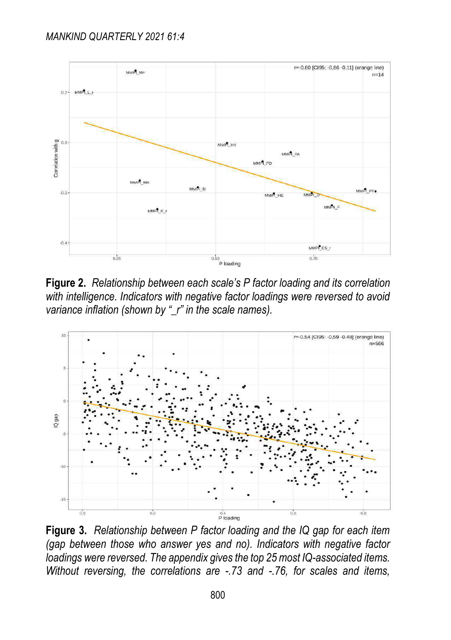

**Figure 2.** *Relationship between each scale's P factor loading and its correlation with intelligence. Indicators with negative factor loadings were reversed to avoid variance inflation (shown by "\_r" in the scale names).*



**Figure 3.** *Relationship between P factor loading and the IQ gap for each item (gap between those who answer yes and no). Indicators with negative factor loadings were reversed. The appendix gives the top 25 most IQ-associated items. Without reversing, the correlations are -.73 and -.76, for scales and items,*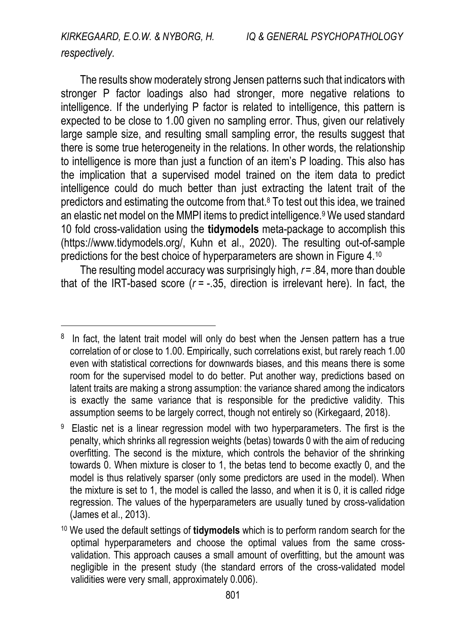## *respectively.*

 $\ddot{ }$ 

The results show moderately strong Jensen patterns such that indicators with stronger P factor loadings also had stronger, more negative relations to intelligence. If the underlying P factor is related to intelligence, this pattern is expected to be close to 1.00 given no sampling error. Thus, given our relatively large sample size, and resulting small sampling error, the results suggest that there is some true heterogeneity in the relations. In other words, the relationship to intelligence is more than just a function of an item's P loading. This also has the implication that a supervised model trained on the item data to predict intelligence could do much better than just extracting the latent trait of the predictors and estimating the outcome from that.<sup>8</sup> To test out this idea, we trained an elastic net model on the MMPI items to predict intelligence.<sup>9</sup> We used standard 10 fold cross-validation using the **tidymodels** meta-package to accomplish this [\(https://www.tidymodels.org/,](https://www.tidymodels.org/) Kuhn et al., 2020). The resulting out-of-sample predictions for the best choice of hyperparameters are shown in Figure 4.<sup>10</sup>

The resulting model accuracy was surprisingly high, *r*=.84, more than double that of the IRT-based score (*r* = -.35, direction is irrelevant here). In fact, the

<sup>&</sup>lt;sup>8</sup> In fact, the latent trait model will only do best when the Jensen pattern has a true correlation of or close to 1.00. Empirically, such correlations exist, but rarely reach 1.00 even with statistical corrections for downwards biases, and this means there is some room for the supervised model to do better. Put another way, predictions based on latent traits are making a strong assumption: the variance shared among the indicators is exactly the same variance that is responsible for the predictive validity. This assumption seems to be largely correct, though not entirely so [\(Kirkegaard, 2018\).](https://www.zotero.org/google-docs/?WZr27D)

<sup>&</sup>lt;sup>9</sup> Elastic net is a linear regression model with two hyperparameters. The first is the penalty, which shrinks all regression weights (betas) towards 0 with the aim of reducing overfitting. The second is the mixture, which controls the behavior of the shrinking towards 0. When mixture is closer to 1, the betas tend to become exactly 0, and the model is thus relatively sparser (only some predictors are used in the model). When the mixture is set to 1, the model is called the lasso, and when it is 0, it is called ridge regression. The values of the hyperparameters are usually tuned by cross-validation [\(James et al., 2013\).](https://www.zotero.org/google-docs/?32XOkB) 

<sup>10</sup> We used the default settings of **tidymodels** which is to perform random search for the optimal hyperparameters and choose the optimal values from the same crossvalidation. This approach causes a small amount of overfitting, but the amount was negligible in the present study (the standard errors of the cross-validated model validities were very small, approximately 0.006).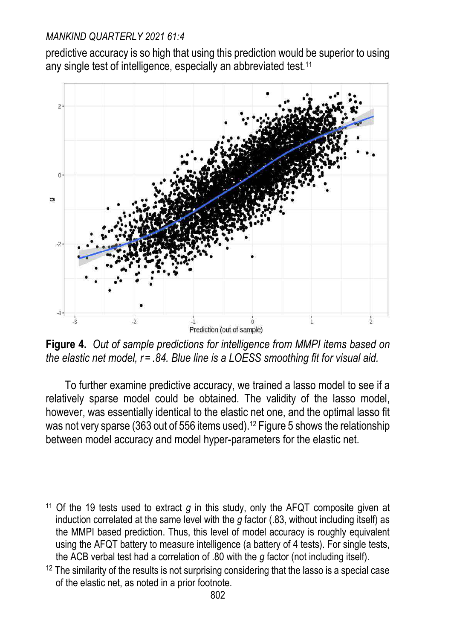predictive accuracy is so high that using this prediction would be superior to using any single test of intelligence, especially an abbreviated test.<sup>11</sup>



**Figure 4.** *Out of sample predictions for intelligence from MMPI items based on the elastic net model, r = .84. Blue line is a LOESS smoothing fit for visual aid.* 

To further examine predictive accuracy, we trained a lasso model to see if a relatively sparse model could be obtained. The validity of the lasso model, however, was essentially identical to the elastic net one, and the optimal lasso fit was not very sparse (363 out of 556 items used).12 Figure 5 shows the relationship between model accuracy and model hyper-parameters for the elastic net.

 $\overline{a}$ <sup>11</sup> Of the 19 tests used to extract *g* in this study, only the AFQT composite given at induction correlated at the same level with the *g* factor (.83, without including itself) as the MMPI based prediction. Thus, this level of model accuracy is roughly equivalent using the AFQT battery to measure intelligence (a battery of 4 tests). For single tests, the ACB verbal test had a correlation of .80 with the *g* factor (not including itself).

 $12$  The similarity of the results is not surprising considering that the lasso is a special case of the elastic net, as noted in a prior footnote.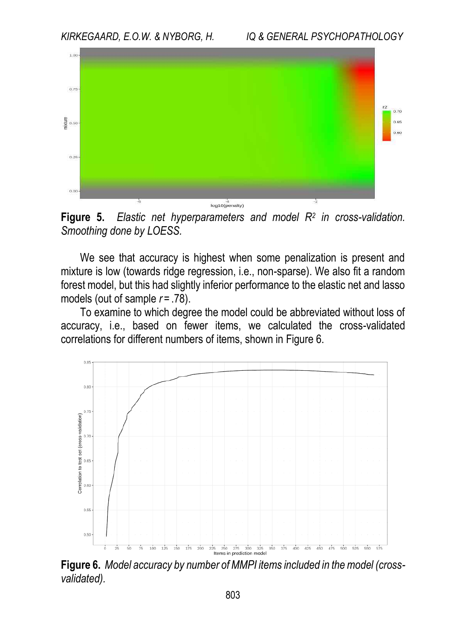

**Figure 5.** *Elastic net hyperparameters and model R<sup>2</sup> in cross-validation. Smoothing done by LOESS.* 

We see that accuracy is highest when some penalization is present and mixture is low (towards ridge regression, i.e., non-sparse). We also fit a random forest model, but this had slightly inferior performance to the elastic net and lasso models (out of sample  $r = .78$ ).

To examine to which degree the model could be abbreviated without loss of accuracy, i.e., based on fewer items, we calculated the cross-validated correlations for different numbers of items, shown in Figure 6.



**Figure 6.** *Model accuracy by number of MMPI items included in the model (crossvalidated).*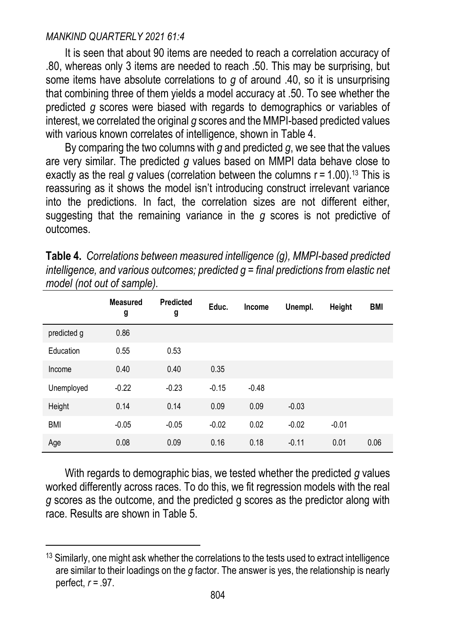$\ddot{ }$ 

It is seen that about 90 items are needed to reach a correlation accuracy of .80, whereas only 3 items are needed to reach .50. This may be surprising, but some items have absolute correlations to *g* of around .40, so it is unsurprising that combining three of them yields a model accuracy at .50. To see whether the predicted *g* scores were biased with regards to demographics or variables of interest, we correlated the original *g* scores and the MMPI-based predicted values with various known correlates of intelligence, shown in Table 4.

By comparing the two columns with *g* and predicted *g*, we see that the values are very similar. The predicted *g* values based on MMPI data behave close to exactly as the real  $q$  values (correlation between the columns  $r = 1.00$ ).<sup>13</sup> This is reassuring as it shows the model isn't introducing construct irrelevant variance into the predictions. In fact, the correlation sizes are not different either, suggesting that the remaining variance in the *g* scores is not predictive of outcomes.

|             | <b>Measured</b><br>g | Predicted<br>g | Educ.   | Income  | Unempl. | Height  | <b>BMI</b> |
|-------------|----------------------|----------------|---------|---------|---------|---------|------------|
| predicted g | 0.86                 |                |         |         |         |         |            |
| Education   | 0.55                 | 0.53           |         |         |         |         |            |
| Income      | 0.40                 | 0.40           | 0.35    |         |         |         |            |
| Unemployed  | $-0.22$              | $-0.23$        | $-0.15$ | $-0.48$ |         |         |            |
| Height      | 0.14                 | 0.14           | 0.09    | 0.09    | $-0.03$ |         |            |
| <b>BMI</b>  | $-0.05$              | $-0.05$        | $-0.02$ | 0.02    | $-0.02$ | $-0.01$ |            |
| Age         | 0.08                 | 0.09           | 0.16    | 0.18    | $-0.11$ | 0.01    | 0.06       |

**Table 4.** *Correlations between measured intelligence (g), MMPI-based predicted intelligence, and various outcomes; predicted g = final predictions from elastic net model (not out of sample).* 

With regards to demographic bias, we tested whether the predicted *g* values worked differently across races. To do this, we fit regression models with the real *g* scores as the outcome, and the predicted g scores as the predictor along with race. Results are shown in Table 5.

<sup>&</sup>lt;sup>13</sup> Similarly, one might ask whether the correlations to the tests used to extract intelligence are similar to their loadings on the *g* factor. The answer is yes, the relationship is nearly perfect, *r* = .97.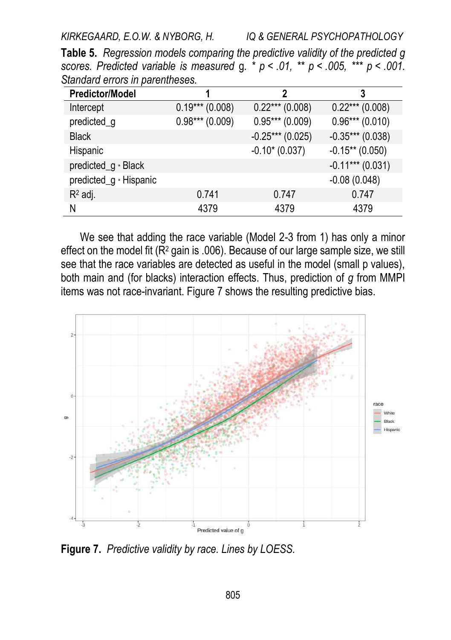**Table 5.** *Regression models comparing the predictive validity of the predicted g scores. Predicted variable is measured* g*. \* p < .01, \*\* p < .005, \*\*\* p < .001. Standard errors in parentheses.*

| <b>Predictor/Model</b> |                  | 2                 | 3                  |
|------------------------|------------------|-------------------|--------------------|
| Intercept              | $0.19***(0.008)$ | $0.22***(0.008)$  | $0.22***(0.008)$   |
| predicted_g            | $0.98***(0.009)$ | $0.95***(0.009)$  | $0.96***(0.010)$   |
| <b>Black</b>           |                  | $-0.25***(0.025)$ | $-0.35***(0.038)$  |
| Hispanic               |                  | $-0.10*(0.037)$   | $-0.15**$ (0.050)  |
| predicted_g · Black    |                  |                   | $-0.11***$ (0.031) |
| predicted_g · Hispanic |                  |                   | $-0.08(0.048)$     |
| $R^2$ adj.             | 0.741            | 0.747             | 0.747              |
| N                      | 4379             | 4379              | 4379               |

We see that adding the race variable (Model 2-3 from 1) has only a minor effect on the model fit (R<sup>2</sup> gain is .006). Because of our large sample size, we still see that the race variables are detected as useful in the model (small p values), both main and (for blacks) interaction effects. Thus, prediction of *g* from MMPI items was not race-invariant. Figure 7 shows the resulting predictive bias.



**Figure 7.** *Predictive validity by race. Lines by LOESS.*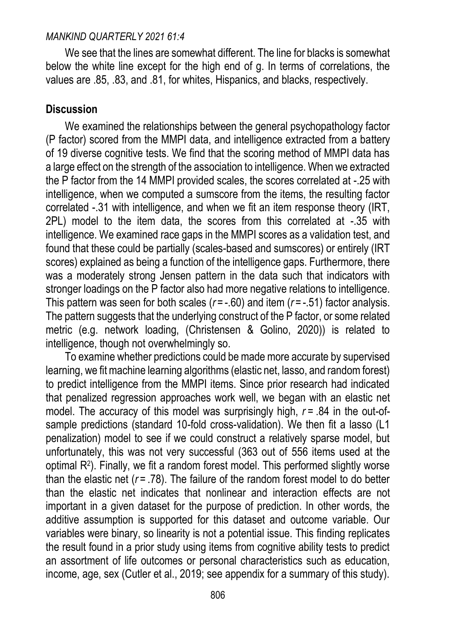We see that the lines are somewhat different. The line for blacks is somewhat below the white line except for the high end of g. In terms of correlations, the values are .85, .83, and .81, for whites, Hispanics, and blacks, respectively.

## **Discussion**

We examined the relationships between the general psychopathology factor (P factor) scored from the MMPI data, and intelligence extracted from a battery of 19 diverse cognitive tests. We find that the scoring method of MMPI data has a large effect on the strength of the association to intelligence. When we extracted the P factor from the 14 MMPI provided scales, the scores correlated at -.25 with intelligence, when we computed a sumscore from the items, the resulting factor correlated -.31 with intelligence, and when we fit an item response theory (IRT, 2PL) model to the item data, the scores from this correlated at -.35 with intelligence. We examined race gaps in the MMPI scores as a validation test, and found that these could be partially (scales-based and sumscores) or entirely (IRT scores) explained as being a function of the intelligence gaps. Furthermore, there was a moderately strong Jensen pattern in the data such that indicators with stronger loadings on the P factor also had more negative relations to intelligence. This pattern was seen for both scales (*r* = -.60) and item (*r* = -.51) factor analysis. The pattern suggests that the underlying construct of the P factor, or some related metric (e.g. network loading, (Christensen & Golino, 2020)) is related to intelligence, though not overwhelmingly so.

To examine whether predictions could be made more accurate by supervised learning, we fit machine learning algorithms (elastic net, lasso, and random forest) to predict intelligence from the MMPI items. Since prior research had indicated that penalized regression approaches work well, we began with an elastic net model. The accuracy of this model was surprisingly high, *r* = .84 in the out-ofsample predictions (standard 10-fold cross-validation). We then fit a lasso (L1 penalization) model to see if we could construct a relatively sparse model, but unfortunately, this was not very successful (363 out of 556 items used at the optimal R<sup>2</sup> ). Finally, we fit a random forest model. This performed slightly worse than the elastic net  $(r = .78)$ . The failure of the random forest model to do better than the elastic net indicates that nonlinear and interaction effects are not important in a given dataset for the purpose of prediction. In other words, the additive assumption is supported for this dataset and outcome variable. Our variables were binary, so linearity is not a potential issue. This finding replicates the result found in a prior study using items from cognitive ability tests to predict an assortment of life outcomes or personal characteristics such as education, income, age, sex (Cutler et al., 2019; see appendix for a summary of this study).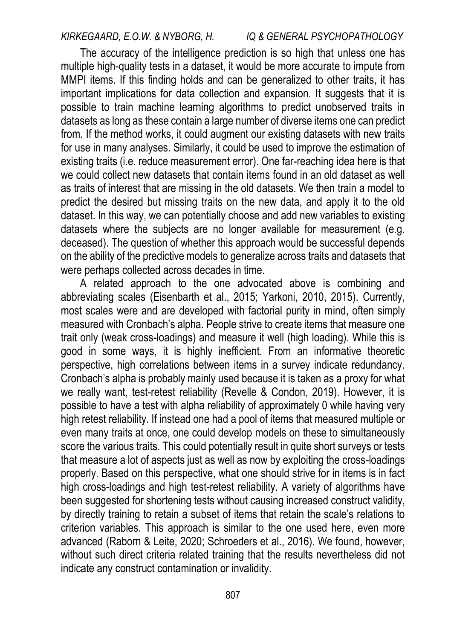The accuracy of the intelligence prediction is so high that unless one has multiple high-quality tests in a dataset, it would be more accurate to impute from MMPI items. If this finding holds and can be generalized to other traits, it has important implications for data collection and expansion. It suggests that it is possible to train machine learning algorithms to predict unobserved traits in datasets as long as these contain a large number of diverse items one can predict from. If the method works, it could augment our existing datasets with new traits for use in many analyses. Similarly, it could be used to improve the estimation of existing traits (i.e. reduce measurement error). One far-reaching idea here is that we could collect new datasets that contain items found in an old dataset as well as traits of interest that are missing in the old datasets. We then train a model to predict the desired but missing traits on the new data, and apply it to the old dataset. In this way, we can potentially choose and add new variables to existing datasets where the subjects are no longer available for measurement (e.g. deceased). The question of whether this approach would be successful depends on the ability of the predictive models to generalize across traits and datasets that were perhaps collected across decades in time.

A related approach to the one advocated above is combining and abbreviating scales (Eisenbarth et al., 2015; Yarkoni, 2010, 2015). Currently, most scales were and are developed with factorial purity in mind, often simply measured with Cronbach's alpha. People strive to create items that measure one trait only (weak cross-loadings) and measure it well (high loading). While this is good in some ways, it is highly inefficient. From an informative theoretic perspective, high correlations between items in a survey indicate redundancy. Cronbach's alpha is probably mainly used because it is taken as a proxy for what we really want, test-retest reliability (Revelle & Condon, 2019). However, it is possible to have a test with alpha reliability of approximately 0 while having very high retest reliability. If instead one had a pool of items that measured multiple or even many traits at once, one could develop models on these to simultaneously score the various traits. This could potentially result in quite short surveys or tests that measure a lot of aspects just as well as now by exploiting the cross-loadings properly. Based on this perspective, what one should strive for in items is in fact high cross-loadings and high test-retest reliability. A variety of algorithms have been suggested for shortening tests without causing increased construct validity, by directly training to retain a subset of items that retain the scale's relations to criterion variables. This approach is similar to the one used here, even more advanced (Raborn & Leite, 2020; Schroeders et al., 2016). We found, however, without such direct criteria related training that the results nevertheless did not indicate any construct contamination or invalidity.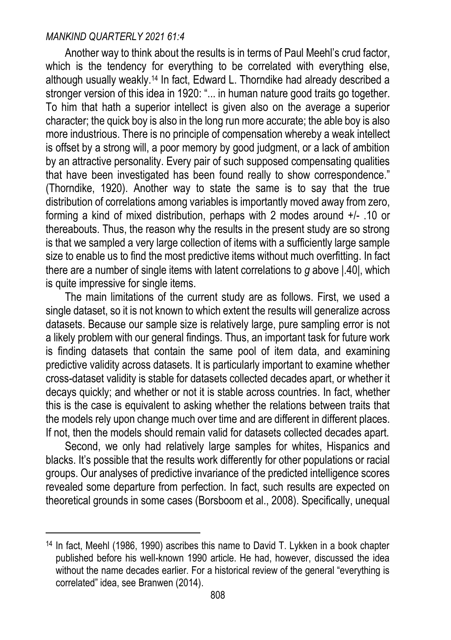$\ddot{ }$ 

Another way to think about the results is in terms of Paul Meehl's crud factor, which is the tendency for everything to be correlated with everything else. although usually weakly.14 In fact, Edward L. Thorndike had already described a stronger version of this idea in 1920: "... in human nature good traits go together. To him that hath a superior intellect is given also on the average a superior character; the quick boy is also in the long run more accurate; the able boy is also more industrious. There is no principle of compensation whereby a weak intellect is offset by a strong will, a poor memory by good judgment, or a lack of ambition by an attractive personality. Every pair of such supposed compensating qualities that have been investigated has been found really to show correspondence." (Thorndike, 1920). Another way to state the same is to say that the true distribution of correlations among variables is importantly moved away from zero, forming a kind of mixed distribution, perhaps with 2 modes around +/- .10 or thereabouts. Thus, the reason why the results in the present study are so strong is that we sampled a very large collection of items with a sufficiently large sample size to enable us to find the most predictive items without much overfitting. In fact there are a number of single items with latent correlations to *g* above |.40|, which is quite impressive for single items.

The main limitations of the current study are as follows. First, we used a single dataset, so it is not known to which extent the results will generalize across datasets. Because our sample size is relatively large, pure sampling error is not a likely problem with our general findings. Thus, an important task for future work is finding datasets that contain the same pool of item data, and examining predictive validity across datasets. It is particularly important to examine whether cross-dataset validity is stable for datasets collected decades apart, or whether it decays quickly; and whether or not it is stable across countries. In fact, whether this is the case is equivalent to asking whether the relations between traits that the models rely upon change much over time and are different in different places. If not, then the models should remain valid for datasets collected decades apart.

Second, we only had relatively large samples for whites, Hispanics and blacks. It's possible that the results work differently for other populations or racial groups. Our analyses of predictive invariance of the predicted intelligence scores revealed some departure from perfection. In fact, such results are expected on theoretical grounds in some cases (Borsboom et al., 2008). Specifically, unequal

 $14$  In fact, Meehl (1986, 1990) ascribes this name to David T. Lykken in a book chapter published before his well-known 1990 article. He had, however, discussed the idea without the name decades earlier. For a historical review of the general "everything is correlated" idea, see [Branwen \(2014\).](https://www.zotero.org/google-docs/?XXhBCo)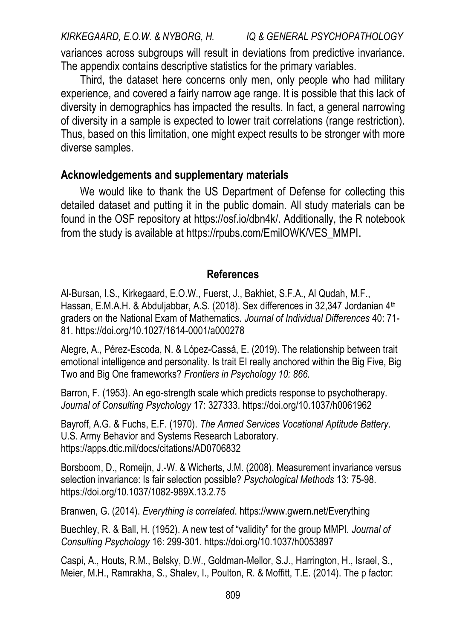variances across subgroups will result in deviations from predictive invariance. The appendix contains descriptive statistics for the primary variables.

Third, the dataset here concerns only men, only people who had military experience, and covered a fairly narrow age range. It is possible that this lack of diversity in demographics has impacted the results. In fact, a general narrowing of diversity in a sample is expected to lower trait correlations (range restriction). Thus, based on this limitation, one might expect results to be stronger with more diverse samples.

## **Acknowledgements and supplementary materials**

We would like to thank the US Department of Defense for collecting this detailed dataset and putting it in the public domain. All study materials can be found in the OSF repository at [https://osf.io/dbn4k/.](https://osf.io/dbn4k/) Additionally, the R notebook from the study is available a[t https://rpubs.com/EmilOWK/VES\\_MMPI](https://rpubs.com/EmilOWK/VES_MMPI).

### **References**

Al-Bursan, I.S., Kirkegaard, E.O.W., Fuerst, J., Bakhiet, S.F.A., Al Qudah, M.F., Hassan, E.M.A.H. & Abduljabbar, A.S. (2018). Sex differences in 32,347 Jordanian 4<sup>th</sup> graders on the National Exam of Mathematics. *Journal of Individual Differences* 40: 71- 81[. https://doi.org/10.1027/1614-0001/a000278](https://doi.org/10.1027/1614-0001/a000278)

Alegre, A., Pérez-Escoda, N. & López-Cassá, E. (2019). The relationship between trait emotional intelligence and personality. Is trait EI really anchored within the Big Five, Big Two and Big One frameworks? *Frontiers in Psychology 10: 866.* 

Barron, F. (1953). An ego-strength scale which predicts response to psychotherapy. *Journal of Consulting Psychology* 17: 327333.<https://doi.org/10.1037/h0061962>

Bayroff, A.G. & Fuchs, E.F. (1970). *The Armed Services Vocational Aptitude Battery*. U.S. Army Behavior and Systems Research Laboratory. <https://apps.dtic.mil/docs/citations/AD0706832>

Borsboom, D., Romeijn, J.-W. & Wicherts, J.M. (2008). Measurement invariance versus selection invariance: Is fair selection possible? *Psychological Methods* 13: 75-98. <https://doi.org/10.1037/1082-989X.13.2.75>

Branwen, G. (2014). *Everything is correlated*.<https://www.gwern.net/Everything>

Buechley, R. & Ball, H. (1952). A new test of "validity" for the group MMPI. *Journal of Consulting Psychology* 16: 299-301.<https://doi.org/10.1037/h0053897>

Caspi, A., Houts, R.M., Belsky, D.W., Goldman-Mellor, S.J., Harrington, H., Israel, S., Meier, M.H., Ramrakha, S., Shalev, I., Poulton, R. & Moffitt, T.E. (2014). The p factor: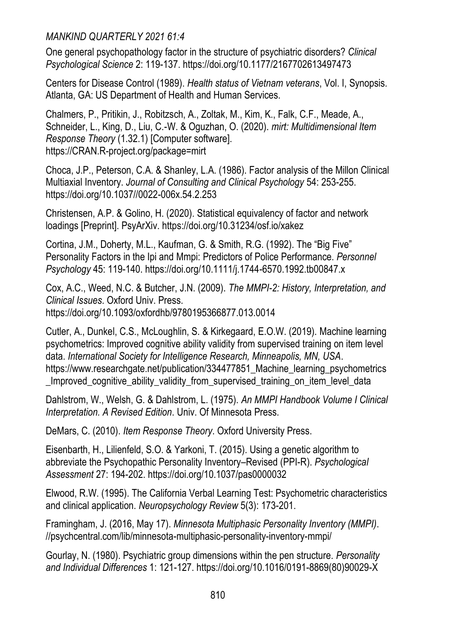One general psychopathology factor in the structure of psychiatric disorders? *Clinical Psychological Science* 2: 119-137[. https://doi.org/10.1177/2167702613497473](https://doi.org/10.1177/2167702613497473) 

Centers for Disease Control (1989). *Health status of Vietnam veterans*, Vol. I, Synopsis. Atlanta, GA: US Department of Health and Human Services.

Chalmers, P., Pritikin, J., Robitzsch, A., Zoltak, M., Kim, K., Falk, C.F., Meade, A., Schneider, L., King, D., Liu, C.-W. & Oguzhan, O. (2020). *mirt: Multidimensional Item Response Theory* (1.32.1) [Computer software]. [https://CRAN.R-project.org/package=mirt](https://cran.r-project.org/package=mirt) 

Choca, J.P., Peterson, C.A. & Shanley, L.A. (1986). Factor analysis of the Millon Clinical Multiaxial Inventory. *Journal of Consulting and Clinical Psychology* 54: 253-255. [https://doi.org/10.1037//0022-006x.54.2.253](https://doi.org/10.1037/0022-006x.54.2.253) 

Christensen, A.P. & Golino, H. (2020). Statistical equivalency of factor and network loadings [Preprint]. PsyArXiv.<https://doi.org/10.31234/osf.io/xakez>

Cortina, J.M., Doherty, M.L., Kaufman, G. & Smith, R.G. (1992). The "Big Five" Personality Factors in the Ipi and Mmpi: Predictors of Police Performance. *Personnel Psychology* 45: 119-140.<https://doi.org/10.1111/j.1744-6570.1992.tb00847.x>

Cox, A.C., Weed, N.C. & Butcher, J.N. (2009). *The MMPI-2: History, Interpretation, and Clinical Issues*. Oxford Univ. Press. <https://doi.org/10.1093/oxfordhb/9780195366877.013.0014>

Cutler, A., Dunkel, C.S., McLoughlin, S. & Kirkegaard, E.O.W. (2019). Machine learning psychometrics: Improved cognitive ability validity from supervised training on item level data. *International Society for Intelligence Research, Minneapolis, MN, USA*. [https://www.researchgate.net/publication/334477851\\_Machine\\_learning\\_psychometrics](https://www.researchgate.net/publication/334477851_Machine_learning_psychometrics_Improved_cognitive_ability_validity_from_supervised_training_on_item_level_data) Improved cognitive ability validity from supervised training on item level data

Dahlstrom, W., Welsh, G. & Dahlstrom, L. (1975). *An MMPI Handbook Volume I Clinical Interpretation. A Revised Edition*. Univ. Of Minnesota Press.

[DeMars, C. \(2010\).](https://www.zotero.org/google-docs/?EoxqAb) *Item Response Theory*. Oxford University Press.

Eisenbarth, H., Lilienfeld, S.O. & Yarkoni, T. (2015). Using a genetic algorithm to abbreviate the Psychopathic Personality Inventory–Revised (PPI-R). *Psychological Assessment* 27: 194-202.<https://doi.org/10.1037/pas0000032>

Elwood, R.W. (1995). The California Verbal Learning Test: Psychometric characteristics and clinical application. *Neuropsychology Review* 5(3): 173-201.

Framingham, J. (2016, May 17). *Minnesota Multiphasic Personality Inventory (MMPI)*. //psychcentral.com/lib/minnesota-multiphasic-personality-inventory-mmpi/

Gourlay, N. (1980). Psychiatric group dimensions within the pen structure. *Personality and Individual Differences* 1: 121-127. [https://doi.org/10.1016/0191-8869\(80\)90029-X](https://doi.org/10.1016/0191-8869(80)90029-X)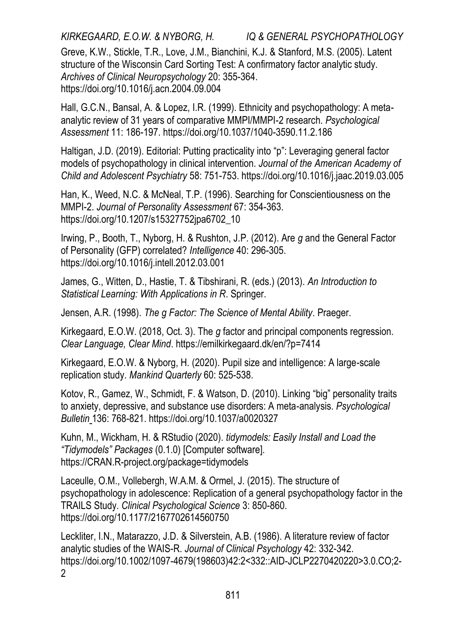*KIRKEGAARD, E.O.W. & NYBORG, H. IQ & GENERAL PSYCHOPATHOLOGY*  Greve, K.W., Stickle, T.R., Love, J.M., Bianchini, K.J. & Stanford, M.S. (2005). Latent

structure of the Wisconsin Card Sorting Test: A confirmatory factor analytic study. *Archives of Clinical Neuropsychology* 20: 355-364. <https://doi.org/10.1016/j.acn.2004.09.004>

Hall, G.C.N., Bansal, A. & Lopez, I.R. (1999). Ethnicity and psychopathology: A metaanalytic review of 31 years of comparative MMPI/MMPI-2 research. *Psychological Assessment* 11: 186-197.<https://doi.org/10.1037/1040-3590.11.2.186>

Haltigan, J.D. (2019). Editorial: Putting practicality into "p": Leveraging general factor models of psychopathology in clinical intervention. *Journal of the American Academy of Child and Adolescent Psychiatry* 58: 751-753.<https://doi.org/10.1016/j.jaac.2019.03.005>

Han, K., Weed, N.C. & McNeal, T.P. (1996). Searching for Conscientiousness on the MMPI-2. *Journal of Personality Assessment* 67: 354-363. [https://doi.org/10.1207/s15327752jpa6702\\_10](https://doi.org/10.1207/s15327752jpa6702_10) 

Irwing, P., Booth, T., Nyborg, H. & Rushton, J.P. (2012). Are *g* and the General Factor of Personality (GFP) correlated? *Intelligence* 40: 296-305. <https://doi.org/10.1016/j.intell.2012.03.001>

James, G., Witten, D., Hastie, T. & Tibshirani, R. (eds.) (2013). *An Introduction to Statistical Learning: With Applications in R*[. Springer.](https://www.zotero.org/google-docs/?EoxqAb) 

Jensen, A.R. (1998). *The g Factor: The Science of Mental Ability*. Praeger.

Kirkegaard, E.O.W. (2018, Oct. 3). The *g* factor and principal components regression. *Clear Language, Clear Mind*.<https://emilkirkegaard.dk/en/?p=7414>

Kirkegaard, E.O.W. & Nyborg, H. (2020). Pupil size and intelligence: A large-scale replication study. *Mankind Quarterly* 60: 525-538.

Kotov, R., Gamez, W., Schmidt, F. & Watson, D. (2010). Linking "big" personality traits to anxiety, depressive, and substance use disorders: A meta-analysis. *Psychological Bulleti[n](file:///D:/MQ%20new/Papers%20under%20review%202021/Summer%202021/)* [136:](https://www.zotero.org/google-docs/?EoxqAb) 768-821.<https://doi.org/10.1037/a0020327>

Kuhn, M., Wickham, H. & RStudio (2020). *tidymodels: Easily Install and Load the "Tidymodels" Packages* (0.1.0) [Computer software]. [https://CRAN.R-project.org/package=tidymodels](https://cran.r-project.org/package=tidymodels) 

Laceulle, O.M., Vollebergh, W.A.M. & Ormel, J. (2015). The structure of psychopathology in adolescence: Replication of a general psychopathology factor in the TRAILS Study. *Clinical Psychological Science* 3: 850-860. <https://doi.org/10.1177/2167702614560750>

Leckliter, I.N., Matarazzo, J.D. & Silverstein, A.B. (1986). A literature review of factor analytic studies of the WAIS-R. *Journal of Clinical Psychology* 42: 332-342. [https://doi.org/10.1002/1097-4679\(198603\)42:2<332::AID-JCLP2270420220>3.0.CO;2-](https://doi.org/10.1002/1097-4679(198603)42:2%3c332::AID-JCLP2270420220%3e3.0.CO;2-2)  $\mathfrak{p}$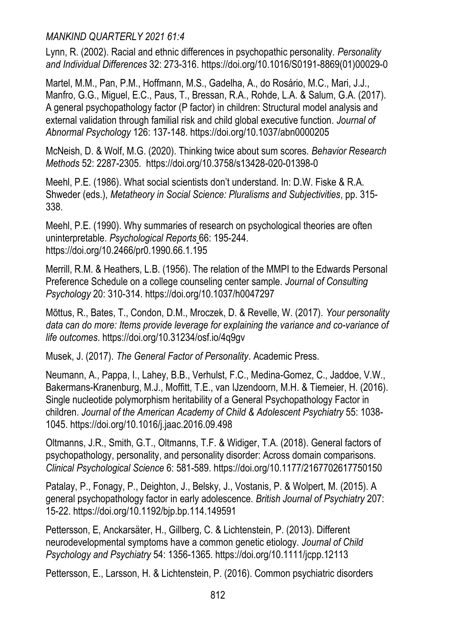Lynn, R. (2002). Racial and ethnic differences in psychopathic personality. *Personality and Individual Differences* 32: 273-316[. https://doi.org/10.1016/S0191-8869\(01\)00029-0](https://doi.org/10.1016/S0191-8869(01)00029-0) 

Martel, M.M., Pan, P.M., Hoffmann, M.S., Gadelha, A., do Rosário, M.C., Mari, J.J., Manfro, G.G., Miguel, E.C., Paus, T., Bressan, R.A., Rohde, L.A. & Salum, G.A. (2017). A general psychopathology factor (P factor) in children: Structural model analysis and external validation through familial risk and child global executive function. *Journal of Abnormal Psychology* 126: 137-148.<https://doi.org/10.1037/abn0000205>

McNeish, D. & Wolf, M.G. (2020). Thinking twice about sum scores. *Behavior Research Methods* 52: 2287-2305.<https://doi.org/10.3758/s13428-020-01398-0>

Meehl, P.E. (1986). What social scientists don't understand. In: D.W. Fiske & R.A. Shweder (eds.), *Metatheory in Social Science: Pluralisms and Subjectivities*, pp. 315- 338.

Meehl, P.E. (1990). Why summaries of research on psychological theories are often uninterpretable. *[Psychological Reports](https://www.zotero.org/google-docs/?EoxqAb)* [66:](https://www.zotero.org/google-docs/?EoxqAb) 195-244. <https://doi.org/10.2466/pr0.1990.66.1.195>

Merrill, R.M. & Heathers, L.B. (1956). The relation of the MMPI to the Edwards Personal Preference Schedule on a college counseling center sample. *Journal of Consulting Psychology* 20: 310-314.<https://doi.org/10.1037/h0047297>

Mõttus, R., Bates, T., Condon, D.M., Mroczek, D. & Revelle, W. (2017). *Your personality data can do more: Items provide leverage for explaining the variance and co-variance of life outcomes*[. https://doi.org/10.31234/osf.io/4q9gv](https://doi.org/10.31234/osf.io/4q9gv) 

Musek, J. (2017). *The General Factor of Personality*. Academic Press.

Neumann, A., Pappa, I., Lahey, B.B., Verhulst, F.C., Medina-Gomez, C., Jaddoe, V.W., Bakermans-Kranenburg, M.J., Moffitt, T.E., van IJzendoorn, M.H. & Tiemeier, H. (2016). Single nucleotide polymorphism heritability of a General Psychopathology Factor in children. *Journal of the American Academy of Child & Adolescent Psychiatry* 55: 1038- 1045[. https://doi.org/10.1016/j.jaac.2016.09.498](https://doi.org/10.1016/j.jaac.2016.09.498) 

Oltmanns, J.R., Smith, G.T., Oltmanns, T.F. & Widiger, T.A. (2018). General factors of psychopathology, personality, and personality disorder: Across domain comparisons. *Clinical Psychological Science* [6:](file:///D:/MQ%20new/Papers%20under%20review%202021/Summer%202021/6) 581-589.<https://doi.org/10.1177/2167702617750150>

[Patalay, P., Fonagy, P., Deighton, J., Belsky, J., Vostanis, P. & Wolpert, M. \(2015\). A](https://www.zotero.org/google-docs/?EoxqAb)  [general psychopathology factor in early adolescence.](https://www.zotero.org/google-docs/?EoxqAb) *British Journal of Psychiatr[y](file:///D:/MQ%20new/Papers%20under%20review%202021/Summer%202021/)* [207:](https://www.zotero.org/google-docs/?EoxqAb)  15-22.<https://doi.org/10.1192/bjp.bp.114.149591>

Pettersson, E, Anckarsäter, H., Gillberg, C. & Lichtenstein, P. (2013). Different neurodevelopmental symptoms have a common genetic etiology. *Journal of Child Psychology and Psychiatry* 54: 1356-1365[. https://doi.org/10.1111/jcpp.12113](https://doi.org/10.1111/jcpp.12113) 

Pettersson, E., Larsson, H. & Lichtenstein, P. (2016). Common psychiatric disorders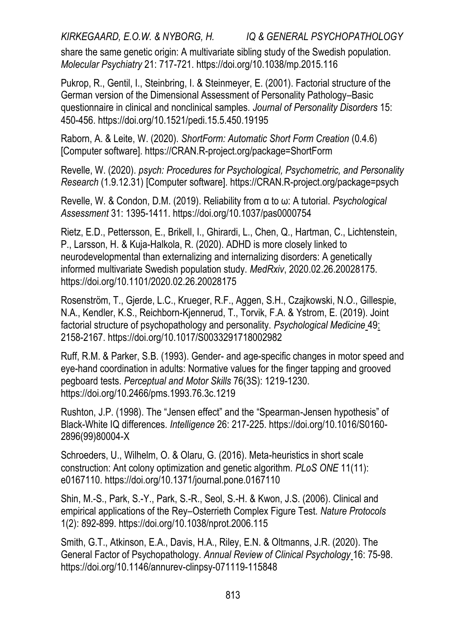share the same genetic origin: A multivariate sibling study of the Swedish population. *Molecular Psychiatry* 21: 717-721.<https://doi.org/10.1038/mp.2015.116>

Pukrop, R., Gentil, I., Steinbring, I. & Steinmeyer, E. (2001). Factorial structure of the German version of the Dimensional Assessment of Personality Pathology–Basic questionnaire in clinical and nonclinical samples. *Journal of Personality Disorders* 15: 450-456[. https://doi.org/10.1521/pedi.15.5.450.19195](https://doi.org/10.1521/pedi.15.5.450.19195) 

Raborn, A. & Leite, W. (2020). *ShortForm: Automatic Short Form Creation* (0.4.6) [Computer software]. [https://CRAN.R-project.org/package=ShortForm](https://cran.r-project.org/package=ShortForm) 

Revelle, W. (2020). *psych: Procedures for Psychological, Psychometric, and Personality Research* (1.9.12.31) [Computer software]. [https://CRAN.R-project.org/package=psych](https://cran.r-project.org/package=psych) 

Revelle, W. & Condon, D.M. (2019). Reliability from α to ω: A tutorial. *Psychological Assessment* 31: 1395-1411.<https://doi.org/10.1037/pas0000754>

Rietz, E.D., Pettersson, E., Brikell, I., Ghirardi, L., Chen, Q., Hartman, C., Lichtenstein, P., Larsson, H. & Kuja-Halkola, R. (2020). ADHD is more closely linked to neurodevelopmental than externalizing and internalizing disorders: A genetically informed multivariate Swedish population study. *MedRxiv*, 2020.02.26.20028175. <https://doi.org/10.1101/2020.02.26.20028175>

Rosenström, T., Gjerde, L.C., Krueger, R.F., Aggen, S.H., Czajkowski, N.O., Gillespie, N.A., Kendler, K.S., Reichborn-Kjennerud, T., Torvik, F.A. & Ystrom, E. (2019). Joint factorial structure of psychopathology and personality. *Psychological Medicine* [49:](https://www.zotero.org/google-docs/?EoxqAb)  2158-2167[. https://doi.org/10.1017/S0033291718002982](https://doi.org/10.1017/S0033291718002982) 

Ruff, R.M. & Parker, S.B. (1993). Gender- and age-specific changes in motor speed and eye-hand coordination in adults: Normative values for the finger tapping and grooved pegboard tests. *Perceptual and Motor Skills* 76(3S): 1219-1230. <https://doi.org/10.2466/pms.1993.76.3c.1219>

Rushton, J.P. (1998). The "Jensen effect" and the "Spearman-Jensen hypothesis" of Black-White IQ differences. *Intelligence* 26: 217-225[. https://doi.org/10.1016/S0160-](https://doi.org/10.1016/S0160-2896(99)80004-X) [2896\(99\)80004-X](https://doi.org/10.1016/S0160-2896(99)80004-X) 

Schroeders, U., Wilhelm, O. & Olaru, G. (2016). Meta-heuristics in short scale construction: Ant colony optimization and genetic algorithm. *PLoS ONE* 11(11): e0167110[. https://doi.org/10.1371/journal.pone.0167110](https://doi.org/10.1371/journal.pone.0167110) 

Shin, M.-S., Park, S.-Y., Park, S.-R., Seol, S.-H. & Kwon, J.S. (2006). Clinical and empirical applications of the Rey–Osterrieth Complex Figure Test. *Nature Protocols* 1(2): 892-899[. https://doi.org/10.1038/nprot.2006.115](https://doi.org/10.1038/nprot.2006.115) 

Smith, G.T., Atkinson, E.A., Davis, H.A., Riley, E.N. & Oltmanns, J.R. (2020). The General Factor of Psychopathology. *Annual Review of Clinical Psycholog[y](file:///D:/MQ%20new/Papers%20under%20review%202021/Summer%202021/)* [16:](https://www.zotero.org/google-docs/?EoxqAb) 75-98. <https://doi.org/10.1146/annurev-clinpsy-071119-115848>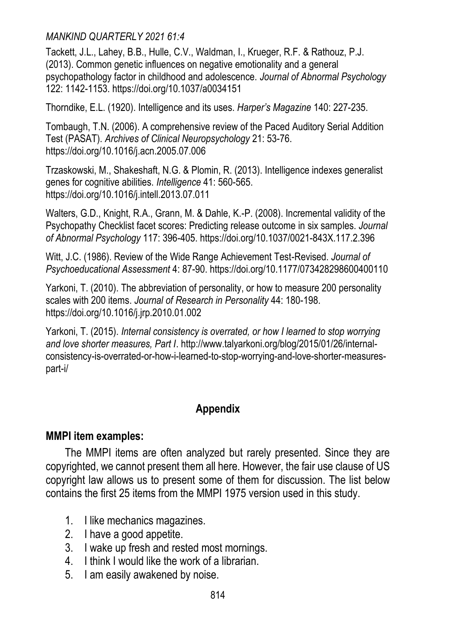Tackett, J.L., Lahey, B.B., Hulle, C.V., Waldman, I., Krueger, R.F. & Rathouz, P.J. (2013). Common genetic influences on negative emotionality and a general psychopathology factor in childhood and adolescence. *Journal of Abnormal Psychology* 122: 1142-1153[. https://doi.org/10.1037/a0034151](https://doi.org/10.1037/a0034151) 

Thorndike, E.L. (1920). Intelligence and its uses. *Harper's Magazine* 140: 227-235.

Tombaugh, T.N. (2006). A comprehensive review of the Paced Auditory Serial Addition Test (PASAT). *Archives of Clinical Neuropsychology* 21: 53-76. <https://doi.org/10.1016/j.acn.2005.07.006>

Trzaskowski, M., Shakeshaft, N.G. & Plomin, R. (2013). Intelligence indexes generalist genes for cognitive abilities. *Intelligence* 41: 560-565. <https://doi.org/10.1016/j.intell.2013.07.011>

Walters, G.D., Knight, R.A., Grann, M. & Dahle, K.-P. (2008). Incremental validity of the Psychopathy Checklist facet scores: Predicting release outcome in six samples. *Journal of Abnormal Psychology* 117: 396-405[. https://doi.org/10.1037/0021-843X.117.2.396](https://doi.org/10.1037/0021-843X.117.2.396) 

Witt, J.C. (1986). Review of the Wide Range Achievement Test-Revised. *Journal of Psychoeducational Assessment* 4: 87-90[. https://doi.org/10.1177/073428298600400110](https://doi.org/10.1177/073428298600400110) 

Yarkoni, T. (2010). The abbreviation of personality, or how to measure 200 personality scales with 200 items. *Journal of Research in Personality* 44: 180-198. <https://doi.org/10.1016/j.jrp.2010.01.002>

Yarkoni, T. (2015). *Internal consistency is overrated, or how I learned to stop worrying and love shorter measures, Part I*[. http://www.talyarkoni.org/blog/2015/01/26/internal](http://www.talyarkoni.org/blog/2015/01/26/internal-consistency-is-overrated-or-how-i-learned-to-stop-worrying-and-love-shorter-measures-part-i/)[consistency-is-overrated-or-how-i-learned-to-stop-worrying-and-love-shorter-measures](http://www.talyarkoni.org/blog/2015/01/26/internal-consistency-is-overrated-or-how-i-learned-to-stop-worrying-and-love-shorter-measures-part-i/)[part-i/](http://www.talyarkoni.org/blog/2015/01/26/internal-consistency-is-overrated-or-how-i-learned-to-stop-worrying-and-love-shorter-measures-part-i/)

## **Appendix**

## **MMPI item examples:**

The MMPI items are often analyzed but rarely presented. Since they are copyrighted, we cannot present them all here. However, the fair use clause of US copyright law allows us to present some of them for discussion. The list below contains the first 25 items from the MMPI 1975 version used in this study.

- 1. I like mechanics magazines.
- 2. I have a good appetite.
- 3. I wake up fresh and rested most mornings.
- 4. I think I would like the work of a librarian.
- 5. I am easily awakened by noise.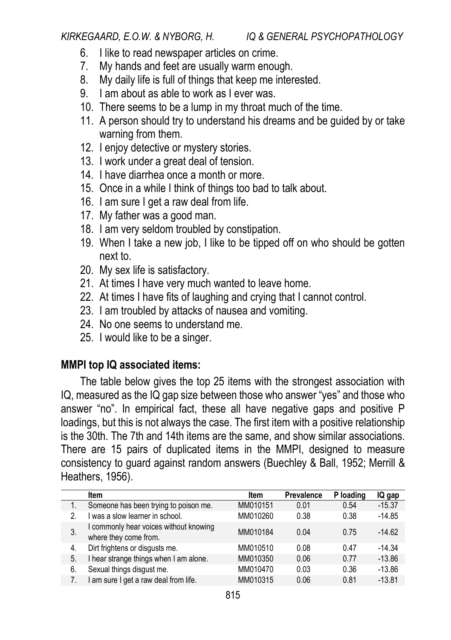- 6. I like to read newspaper articles on crime.
- 7. My hands and feet are usually warm enough.
- 8. My daily life is full of things that keep me interested.
- 9. I am about as able to work as I ever was.
- 10. There seems to be a lump in my throat much of the time.
- 11. A person should try to understand his dreams and be guided by or take warning from them.
- 12. I enjoy detective or mystery stories.
- 13. I work under a great deal of tension.
- 14. I have diarrhea once a month or more.
- 15. Once in a while I think of things too bad to talk about.
- 16. I am sure I get a raw deal from life.
- 17. My father was a good man.
- 18. I am very seldom troubled by constipation.
- 19. When I take a new job, I like to be tipped off on who should be gotten next to.
- 20. My sex life is satisfactory.
- 21. At times I have very much wanted to leave home.
- 22. At times I have fits of laughing and crying that I cannot control.
- 23. I am troubled by attacks of nausea and vomiting.
- 24. No one seems to understand me.
- 25. I would like to be a singer.

## **MMPI top IQ associated items:**

The table below gives the top 25 items with the strongest association with IQ, measured as the IQ gap size between those who answer "yes" and those who answer "no". In empirical fact, these all have negative gaps and positive P loadings, but this is not always the case. The first item with a positive relationship is the 30th. The 7th and 14th items are the same, and show similar associations. There are 15 pairs of duplicated items in the MMPI, designed to measure consistency to guard against random answers (Buechley & Ball, 1952; Merrill & Heathers, 1956).

|    | Item                                                            | Item     | Prevalence | P loading | IQ gap   |
|----|-----------------------------------------------------------------|----------|------------|-----------|----------|
|    | Someone has been trying to poison me.                           | MM010151 | 0.01       | 0.54      | $-15.37$ |
| 2. | I was a slow learner in school.                                 | MM010260 | 0.38       | 0.38      | $-14.85$ |
|    | I commonly hear voices without knowing<br>where they come from. | MM010184 | 0 04       | 0.75      | $-1462$  |
| 4. | Dirt frightens or disgusts me.                                  | MM010510 | 0.08       | 0.47      | $-14.34$ |
| 5. | I hear strange things when I am alone.                          | MM010350 | 0.06       | 0.77      | $-13.86$ |
| 6. | Sexual things disgust me.                                       | MM010470 | 0.03       | 0.36      | $-13.86$ |
|    | I am sure I get a raw deal from life.                           | MM010315 | 0.06       | 0.81      | $-13.81$ |
|    |                                                                 |          |            |           |          |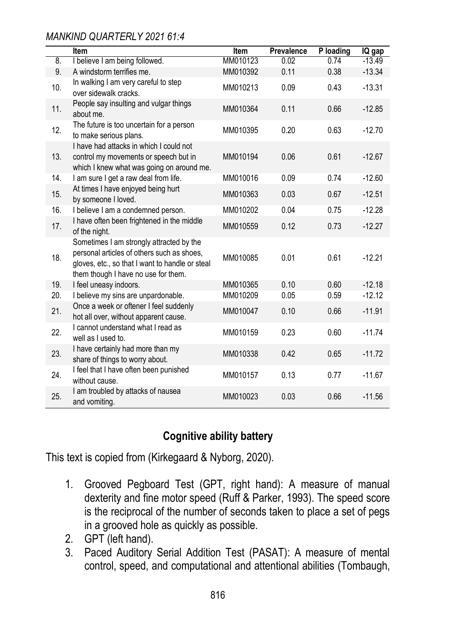|     | Item                                                                                                                                                                             | <b>Item</b> | Prevalence | P loading | IQ gap   |
|-----|----------------------------------------------------------------------------------------------------------------------------------------------------------------------------------|-------------|------------|-----------|----------|
| 8.  | I believe I am being followed.                                                                                                                                                   | MM010123    | 0.02       | 0.74      | $-13.49$ |
| 9.  | A windstorm terrifies me.                                                                                                                                                        | MM010392    | 0.11       | 0.38      | $-13.34$ |
| 10. | In walking I am very careful to step<br>over sidewalk cracks.                                                                                                                    | MM010213    | 0.09       | 0.43      | $-13.31$ |
| 11. | People say insulting and vulgar things<br>about me.                                                                                                                              | MM010364    | 0.11       | 0.66      | $-12.85$ |
| 12. | The future is too uncertain for a person<br>to make serious plans.                                                                                                               | MM010395    | 0.20       | 0.63      | $-12.70$ |
| 13. | I have had attacks in which I could not<br>control my movements or speech but in<br>which I knew what was going on around me.                                                    | MM010194    | 0.06       | 0.61      | $-12.67$ |
| 14. | I am sure I get a raw deal from life.                                                                                                                                            | MM010016    | 0.09       | 0.74      | $-12.60$ |
| 15. | At times I have enjoyed being hurt<br>by someone I loved.                                                                                                                        | MM010363    | 0.03       | 0.67      | $-12.51$ |
| 16. | I believe I am a condemned person.                                                                                                                                               | MM010202    | 0.04       | 0.75      | $-12.28$ |
| 17. | I have often been frightened in the middle<br>of the night.                                                                                                                      | MM010559    | 0.12       | 0.73      | $-12.27$ |
| 18. | Sometimes I am strongly attracted by the<br>personal articles of others such as shoes.<br>gloves, etc., so that I want to handle or steal<br>them though I have no use for them. | MM010085    | 0.01       | 0.61      | $-12.21$ |
| 19. | I feel uneasy indoors.                                                                                                                                                           | MM010365    | 0.10       | 0.60      | $-12.18$ |
| 20. | I believe my sins are unpardonable.                                                                                                                                              | MM010209    | 0.05       | 0.59      | $-12.12$ |
| 21. | Once a week or oftener I feel suddenly<br>hot all over, without apparent cause.                                                                                                  | MM010047    | 0.10       | 0.66      | $-11.91$ |
| 22. | I cannot understand what I read as<br>well as I used to.                                                                                                                         | MM010159    | 0.23       | 0.60      | $-11.74$ |
| 23. | I have certainly had more than my<br>share of things to worry about.                                                                                                             | MM010338    | 0.42       | 0.65      | $-11.72$ |
| 24. | I feel that I have often been punished<br>without cause.                                                                                                                         | MM010157    | 0.13       | 0.77      | $-11.67$ |
| 25. | I am troubled by attacks of nausea<br>and vomiting.                                                                                                                              | MM010023    | 0.03       | 0.66      | $-11.56$ |

## **Cognitive ability battery**

This text is copied from (Kirkegaard & Nyborg, 2020).

- 1. Grooved Pegboard Test (GPT, right hand): A measure of manual dexterity and fine motor speed [\(Ruff & Parker, 1993\).](https://www.zotero.org/google-docs/?u1QSoF) The speed score is the reciprocal of the number of seconds taken to place a set of pegs in a grooved hole as quickly as possible.
- 2. GPT (left hand).
- 3. Paced Auditory Serial Addition Test (PASAT): A measure of mental control, speed, and computational and attentional abilities [\(Tombaugh,](https://www.zotero.org/google-docs/?zuqJ8V)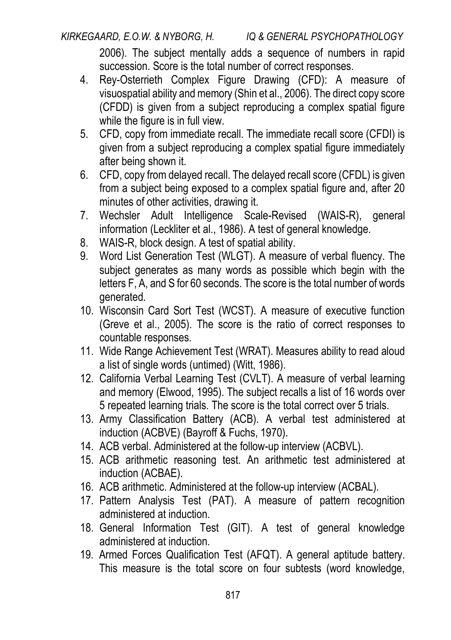[2006\).](https://www.zotero.org/google-docs/?zuqJ8V) The subject mentally adds a sequence of numbers in rapid succession. Score is the total number of correct responses.

- 4. Rey-Osterrieth Complex Figure Drawing (CFD): A measure of visuospatial ability and memory (Shin et al., 2006). The direct copy score (CFDD) is given from a subject reproducing a complex spatial figure while the figure is in full view.
- 5. CFD, copy from immediate recall. The immediate recall score (CFDI) is given from a subject reproducing a complex spatial figure immediately after being shown it.
- 6. CFD, copy from delayed recall. The delayed recall score (CFDL) is given from a subject being exposed to a complex spatial figure and, after 20 minutes of other activities, drawing it.
- 7. Wechsler Adult Intelligence Scale-Revised (WAIS-R), general information (Leckliter et al., 1986). A test of general knowledge.
- 8. WAIS-R, block design. A test of spatial ability.
- 9. Word List Generation Test (WLGT). A measure of verbal fluency. The subject generates as many words as possible which begin with the letters F, A, and S for 60 seconds. The score is the total number of words generated.
- 10. Wisconsin Card Sort Test (WCST). A measure of executive function (Greve et al., 2005). The score is the ratio of correct responses to countable responses.
- 11. Wide Range Achievement Test (WRAT). Measures ability to read aloud a list of single words (untimed) (Witt, 1986).
- 12. California Verbal Learning Test (CVLT). A measure of verbal learning and memory [\(Elwood, 1995\).](https://www.zotero.org/google-docs/?BrR7Gb) The subject recalls a list of 16 words over 5 repeated learning trials. The score is the total correct over 5 trials.
- 13. Army Classification Battery (ACB). A verbal test administered at induction (ACBVE) (Bayroff & Fuchs, 1970).
- 14. ACB verbal. Administered at the follow-up interview (ACBVL).
- 15. ACB arithmetic reasoning test. An arithmetic test administered at induction (ACBAE).
- 16. ACB arithmetic. Administered at the follow-up interview (ACBAL).
- 17. Pattern Analysis Test (PAT). A measure of pattern recognition administered at induction.
- 18. General Information Test (GIT). A test of general knowledge administered at induction.
- 19. Armed Forces Qualification Test (AFQT). A general aptitude battery. This measure is the total score on four subtests (word knowledge,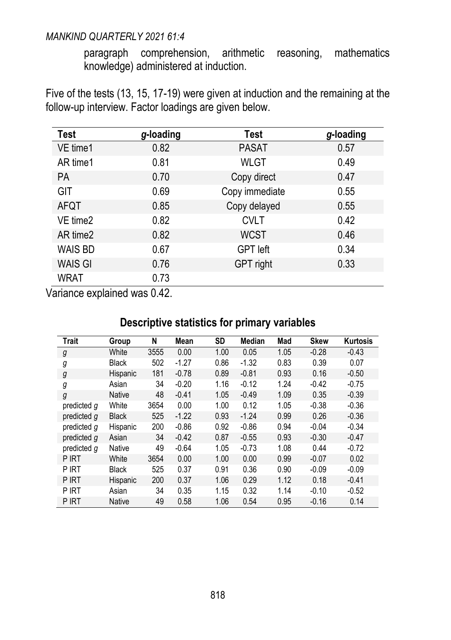paragraph comprehension, arithmetic reasoning, mathematics knowledge) administered at induction.

Five of the tests (13, 15, 17-19) were given at induction and the remaining at the follow-up interview. Factor loadings are given below.

| Test           | g-loading | Test            | g-loading |
|----------------|-----------|-----------------|-----------|
| VE time1       | 0.82      | <b>PASAT</b>    | 0.57      |
| AR time1       | 0.81      | <b>WLGT</b>     | 0.49      |
| PA.            | 0.70      | Copy direct     | 0.47      |
| <b>GIT</b>     | 0.69      | Copy immediate  | 0.55      |
| AFQT           | 0.85      | Copy delayed    | 0.55      |
| VE time2       | 0.82      | <b>CVLT</b>     | 0.42      |
| AR time2       | 0.82      | <b>WCST</b>     | 0.46      |
| <b>WAIS BD</b> | 0.67      | <b>GPT</b> left | 0.34      |
| <b>WAIS GI</b> | 0.76      | GPT right       | 0.33      |
| <b>WRAT</b>    | 0.73      |                 |           |

Variance explained was 0.42.

## **Descriptive statistics for primary variables**

| <b>Trait</b> | Group         | N    | Mean    | SD   | <b>Median</b> | Mad  | <b>Skew</b> | Kurtosis |
|--------------|---------------|------|---------|------|---------------|------|-------------|----------|
|              | White         | 3555 | 0.00    | 1.00 | 0.05          | 1.05 | $-0.28$     | $-0.43$  |
| g            |               |      |         |      |               |      |             |          |
| g            | <b>Black</b>  | 502  | $-1.27$ | 0.86 | $-1.32$       | 0.83 | 0.39        | 0.07     |
| g            | Hispanic      | 181  | $-0.78$ | 0.89 | $-0.81$       | 0.93 | 0.16        | $-0.50$  |
| g            | Asian         | 34   | $-0.20$ | 1.16 | $-0.12$       | 1.24 | $-0.42$     | $-0.75$  |
| g            | <b>Native</b> | 48   | $-0.41$ | 1.05 | $-0.49$       | 1.09 | 0.35        | $-0.39$  |
| predicted g  | White         | 3654 | 0.00    | 1.00 | 0.12          | 1.05 | $-0.38$     | $-0.36$  |
| predicted q  | <b>Black</b>  | 525  | $-1.22$ | 0.93 | $-1.24$       | 0.99 | 0.26        | $-0.36$  |
| predicted q  | Hispanic      | 200  | $-0.86$ | 0.92 | $-0.86$       | 0.94 | $-0.04$     | $-0.34$  |
| predicted q  | Asian         | 34   | $-0.42$ | 0.87 | $-0.55$       | 0.93 | $-0.30$     | $-0.47$  |
| predicted q  | Native        | 49   | $-0.64$ | 1.05 | $-0.73$       | 1.08 | 0.44        | $-0.72$  |
| P IRT        | White         | 3654 | 0.00    | 1.00 | 0.00          | 0.99 | $-0.07$     | 0.02     |
| P IRT        | <b>Black</b>  | 525  | 0.37    | 0.91 | 0.36          | 0.90 | $-0.09$     | $-0.09$  |
| P IRT        | Hispanic      | 200  | 0.37    | 1.06 | 0.29          | 1.12 | 0.18        | $-0.41$  |
| P IRT        | Asian         | 34   | 0.35    | 1.15 | 0.32          | 1.14 | $-0.10$     | $-0.52$  |
| P IRT        | <b>Native</b> | 49   | 0.58    | 1.06 | 0.54          | 0.95 | $-0.16$     | 0.14     |